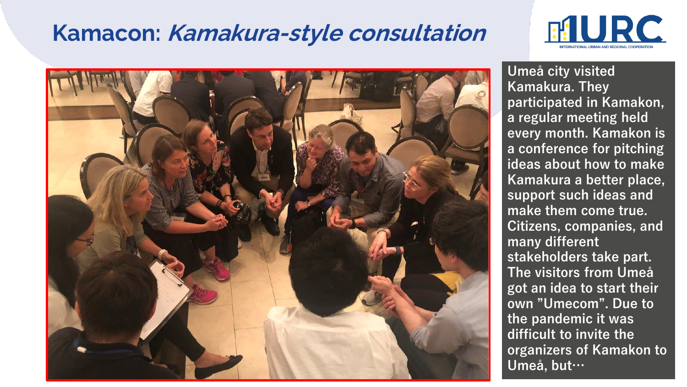## **Kamacon: Kamakura-style consultation**





**Umeå city visited Kamakura. They participated in Kamakon, a regular meeting held every month. Kamakon is a conference for pitching ideas about how to make Kamakura a better place, support such ideas and make them come true. Citizens, companies, and many different stakeholders take part. The visitors from Umeå got an idea to start their own "Umecom". Due to the pandemic it was difficult to invite the organizers of Kamakon to Umeå, but…**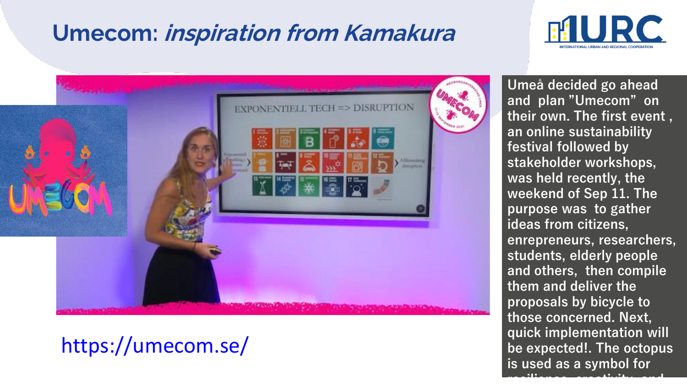# **Umecom: inspiration from Kamakura**





### https://umecom.se/

**Umeå decided go ahead and plan "Umecom" on their own. The first event , an online sustainability festival followed by stakeholder workshops, was held recently, the weekend of Sep 11. The purpose was to gather ideas from citizens, enrepreneurs, researchers, students, elderly people and others, then compile them and deliver the proposals by bicycle to those concerned. Next, quick implementation will be expected!. The octopus is used as a symbol for resilience, creativity, and**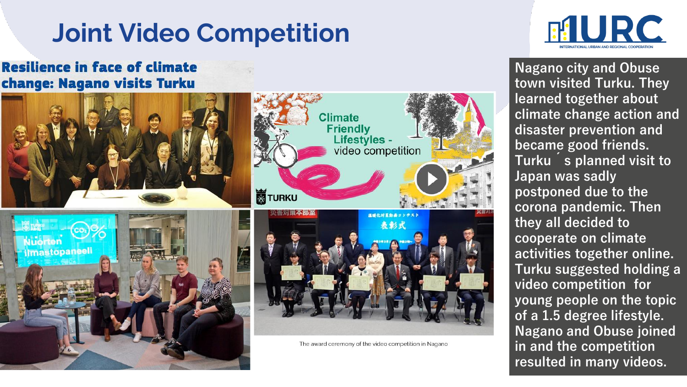# **Joint Video Competition**

#### **Resilience in face of climate** change: Nagano visits Turku





3 **resulted in many videos.Nagano city and Obuse town visited Turku. They learned together about climate change action and disaster prevention and became good friends. Turku ´s planned visit to Japan was sadly postponed due to the corona pandemic. Then they all decided to cooperate on climate activities together online. Turku suggested holding a video competition for young people on the topic of a 1.5 degree lifestyle. Nagano and Obuse joined in and the competition**